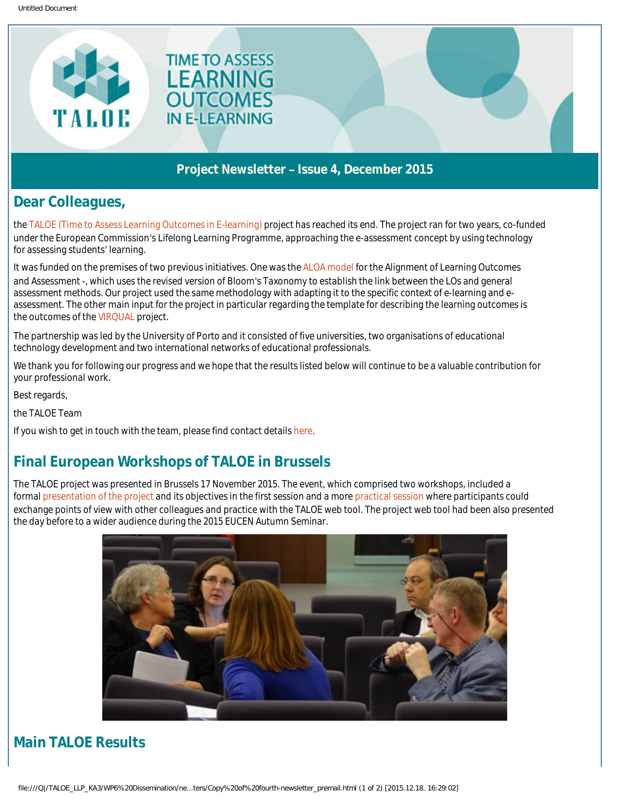

#### Project Newsletter – Issue 4, December 2015

### Dear Colleagues,

the [TALOE \(Time to Assess Learning Outcomes in E-learning\)](http://taloe.up.pt/) project has reached its end. The project ran for two years, co-funded under the European Commission's Lifelong Learning Programme, approaching the e-assessment concept by using technology for assessing students' learning.

It was funded on the premises of two previous initiatives. One was the [ALOA model](http://www.slideshare.net/ritix/the-aloa-model-assessment-of-learning-outcomes) for the Alignment of Learning Outcomes and Assessment -, which uses the revised version of Bloom's Taxonomy to establish the link between the LOs and general assessment methods. Our project used the same methodology with adapting it to the specific context of e-learning and eassessment. The other main input for the project in particular regarding the template for describing the learning outcomes is the outcomes of the [VIRQUAL](http://virqual.up.pt/) project.

The partnership was led by the University of Porto and it consisted of five universities, two organisations of educational technology development and two international networks of educational professionals.

**TIME TO ASSESS** LEARNING **OUTCOMES** 

**IN E-LEARNING** 

We thank you for following our progress and we hope that the results listed below will continue to be a valuable contribution for your professional work.

Best regards,

the TALOE Team

If you wish to get in touch with the team, please find contact details [here.](https://taloe.up.pt/partners/)

### Final European Workshops of TALOE in Brussels

The TALOE project was presented in Brussels 17 November 2015. The event, which comprised two workshops, included a formal [presentation of the project](http://taloe.up.pt/wp-content/uploads/2015/02/EUCEN_TALOE_ALOAModel_17Nov15.pdf) and its objectives in the first session and a more [practical session](http://taloe.up.pt/wp-content/uploads/2015/02/TALOE_eucen_workshop_SKucina_web.pdf) where participants could exchange points of view with other colleagues and practice with the TALOE web tool. The project web tool had been also presented the day before to a wider audience during the 2015 EUCEN Autumn Seminar.